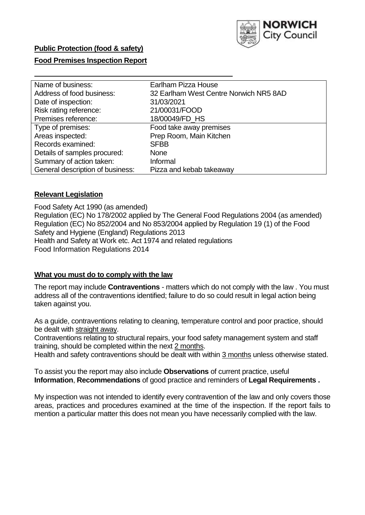

# **Public Protection (food & safety)**

# **Food Premises Inspection Report**

| Name of business:                | Earlham Pizza House                    |
|----------------------------------|----------------------------------------|
| Address of food business:        | 32 Earlham West Centre Norwich NR5 8AD |
| Date of inspection:              | 31/03/2021                             |
| Risk rating reference:           | 21/00031/FOOD                          |
| Premises reference:              | 18/00049/FD HS                         |
| Type of premises:                | Food take away premises                |
| Areas inspected:                 | Prep Room, Main Kitchen                |
| Records examined:                | <b>SFBB</b>                            |
| Details of samples procured:     | <b>None</b>                            |
| Summary of action taken:         | Informal                               |
| General description of business: | Pizza and kebab takeaway               |

### **Relevant Legislation**

 Food Safety Act 1990 (as amended) Regulation (EC) No 178/2002 applied by The General Food Regulations 2004 (as amended) Regulation (EC) No 852/2004 and No 853/2004 applied by Regulation 19 (1) of the Food Safety and Hygiene (England) Regulations 2013 Health and Safety at Work etc. Act 1974 and related regulations Food Information Regulations 2014

### **What you must do to comply with the law**

 The report may include **Contraventions** - matters which do not comply with the law . You must address all of the contraventions identified; failure to do so could result in legal action being taken against you.

 As a guide, contraventions relating to cleaning, temperature control and poor practice, should be dealt with straight away.

 Contraventions relating to structural repairs, your food safety management system and staff training, should be completed within the next 2 months.

Health and safety contraventions should be dealt with within 3 months unless otherwise stated.

 To assist you the report may also include **Observations** of current practice, useful **Information**, **Recommendations** of good practice and reminders of **Legal Requirements .** 

 My inspection was not intended to identify every contravention of the law and only covers those areas, practices and procedures examined at the time of the inspection. If the report fails to mention a particular matter this does not mean you have necessarily complied with the law.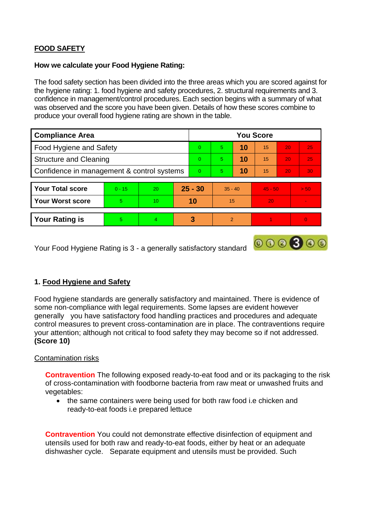# **FOOD SAFETY**

# **How we calculate your Food Hygiene Rating:**

 The food safety section has been divided into the three areas which you are scored against for the hygiene rating: 1. food hygiene and safety procedures, 2. structural requirements and 3. confidence in management/control procedures. Each section begins with a summary of what was observed and the score you have been given. Details of how these scores combine to produce your overall food hygiene rating are shown in the table.

| <b>Compliance Area</b>                     |          |                  |           | <b>You Score</b> |               |    |           |                 |          |  |  |
|--------------------------------------------|----------|------------------|-----------|------------------|---------------|----|-----------|-----------------|----------|--|--|
| Food Hygiene and Safety                    |          |                  |           | $\Omega$         | 5             | 10 | 15        | 20              | 25       |  |  |
| <b>Structure and Cleaning</b>              |          |                  | $\Omega$  | 5                | 10            | 15 | 20        | 25              |          |  |  |
| Confidence in management & control systems |          |                  | $\Omega$  | 5                | 10            | 15 | 20        | 30 <sup>°</sup> |          |  |  |
|                                            |          |                  |           |                  |               |    |           |                 |          |  |  |
| <b>Your Total score</b>                    | $0 - 15$ | 20               | $25 - 30$ |                  | $35 - 40$     |    | $45 - 50$ |                 | > 50     |  |  |
| <b>Your Worst score</b>                    | 5        | 10 <sup>10</sup> | 10        |                  | 15            |    | 20        |                 |          |  |  |
|                                            |          |                  |           |                  |               |    |           |                 |          |  |  |
| <b>Your Rating is</b>                      | 5        | $\overline{4}$   |           | 3                | $\mathcal{P}$ |    |           |                 | $\Omega$ |  |  |

Your Food Hygiene Rating is 3 - a generally satisfactory standard

# **1. Food Hygiene and Safety**

 generally you have satisfactory food handling practices and procedures and adequate Food hygiene standards are generally satisfactory and maintained. There is evidence of some non-compliance with legal requirements. Some lapses are evident however control measures to prevent cross-contamination are in place. The contraventions require your attention; although not critical to food safety they may become so if not addressed. **(Score 10)** 

 $000000$ 

# Contamination risks

 of cross-contamination with foodborne bacteria from raw meat or unwashed fruits and **Contravention** The following exposed ready-to-eat food and or its packaging to the risk vegetables:

 the same containers were being used for both raw food i.e chicken and ready-to-eat foods i.e prepared lettuce

 dishwasher cycle. Separate equipment and utensils must be provided. Such **Contravention** You could not demonstrate effective disinfection of equipment and utensils used for both raw and ready-to-eat foods, either by heat or an adequate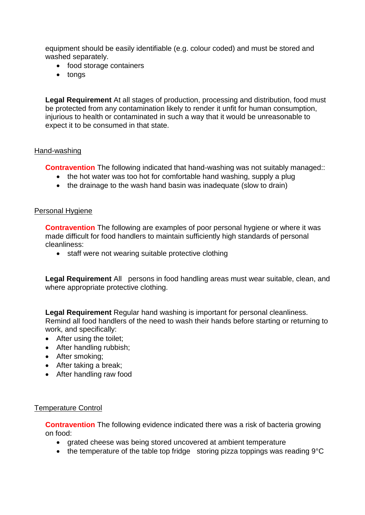equipment should be easily identifiable (e.g. colour coded) and must be stored and washed separately.

- food storage containers
- tongs

 be protected from any contamination likely to render it unfit for human consumption, injurious to health or contaminated in such a way that it would be unreasonable to **Legal Requirement** At all stages of production, processing and distribution, food must expect it to be consumed in that state.

### Hand-washing

**Contravention** The following indicated that hand-washing was not suitably managed::

- the hot water was too hot for comfortable hand washing, supply a plug
- the drainage to the wash hand basin was inadequate (slow to drain)

### Personal Hygiene

 made difficult for food handlers to maintain sufficiently high standards of personal **Contravention** The following are examples of poor personal hygiene or where it was cleanliness:

• staff were not wearing suitable protective clothing

 **Legal Requirement** All persons in food handling areas must wear suitable, clean, and where appropriate protective clothing.

 Remind all food handlers of the need to wash their hands before starting or returning to **Legal Requirement** Regular hand washing is important for personal cleanliness. work, and specifically:

- After using the toilet;
- After handling rubbish;
- After smoking;
- After taking a break:
- After handling raw food

#### Temperature Control

**Contravention** The following evidence indicated there was a risk of bacteria growing on food:

- grated cheese was being stored uncovered at ambient temperature
- the temperature of the table top fridge storing pizza toppings was reading  $9^{\circ}C$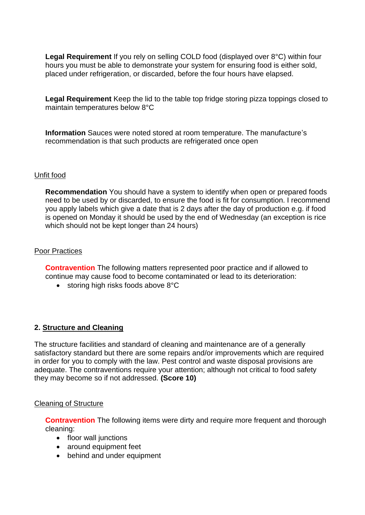hours you must be able to demonstrate your system for ensuring food is either sold, **Legal Requirement** If you rely on selling COLD food (displayed over 8°C) within four placed under refrigeration, or discarded, before the four hours have elapsed.

 **Legal Requirement** Keep the lid to the table top fridge storing pizza toppings closed to maintain temperatures below 8°C

**Information** Sauces were noted stored at room temperature. The manufacture's recommendation is that such products are refrigerated once open

# Unfit food

 need to be used by or discarded, to ensure the food is fit for consumption. I recommend you apply labels which give a date that is 2 days after the day of production e.g. if food **Recommendation** You should have a system to identify when open or prepared foods is opened on Monday it should be used by the end of Wednesday (an exception is rice which should not be kept longer than 24 hours)

# Poor Practices

 **Contravention** The following matters represented poor practice and if allowed to continue may cause food to become contaminated or lead to its deterioration:

 $\bullet$  storing high risks foods above  $8^{\circ}$ C

# **2. Structure and Cleaning**

 The structure facilities and standard of cleaning and maintenance are of a generally adequate. The contraventions require your attention; although not critical to food safety satisfactory standard but there are some repairs and/or improvements which are required in order for you to comply with the law. Pest control and waste disposal provisions are they may become so if not addressed. **(Score 10)** 

#### Cleaning of Structure

**Contravention** The following items were dirty and require more frequent and thorough cleaning:

- floor wall junctions
- around equipment feet
- behind and under equipment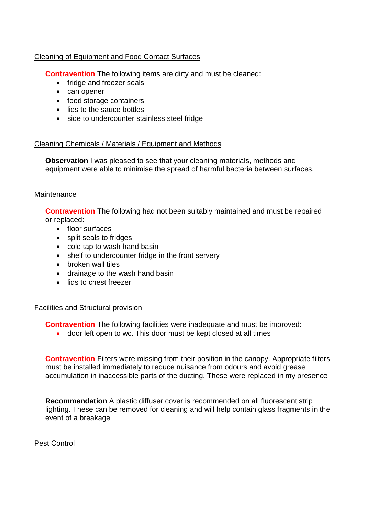# Cleaning of Equipment and Food Contact Surfaces

**Contravention** The following items are dirty and must be cleaned:

- fridge and freezer seals
- can opener
- food storage containers
- lids to the sauce bottles
- side to undercounter stainless steel fridge

# Cleaning Chemicals / Materials / Equipment and Methods

**Observation** I was pleased to see that your cleaning materials, methods and equipment were able to minimise the spread of harmful bacteria between surfaces.

# **Maintenance**

**Contravention** The following had not been suitably maintained and must be repaired or replaced:

- floor surfaces
- split seals to fridges
- cold tap to wash hand basin
- shelf to undercounter fridge in the front servery
- broken wall tiles
- drainage to the wash hand basin
- lids to chest freezer

# Facilities and Structural provision

**Contravention** The following facilities were inadequate and must be improved:

door left open to wc. This door must be kept closed at all times

 must be installed immediately to reduce nuisance from odours and avoid grease **Contravention** Filters were missing from their position in the canopy. Appropriate filters accumulation in inaccessible parts of the ducting. These were replaced in my presence

 **Recommendation** A plastic diffuser cover is recommended on all fluorescent strip lighting. These can be removed for cleaning and will help contain glass fragments in the event of a breakage

# **Pest Control**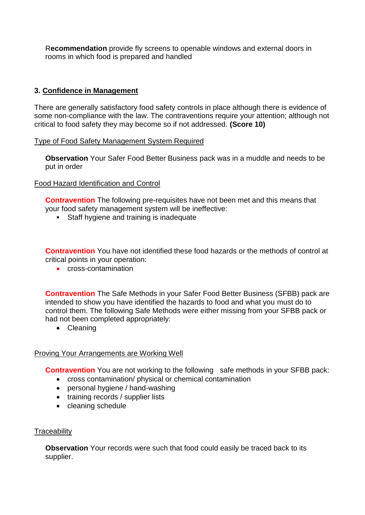R**ecommendation** provide fly screens to openable windows and external doors in rooms in which food is prepared and handled

# **3. Confidence in Management**

There are generally satisfactory food safety controls in place although there is evidence of some non-compliance with the law. The contraventions require your attention; although not critical to food safety they may become so if not addressed. **(Score 10)** 

# Type of Food Safety Management System Required

 **Observation** Your Safer Food Better Business pack was in a muddle and needs to be put in order

# Food Hazard Identification and Control

**Contravention** The following pre-requisites have not been met and this means that your food safety management system will be ineffective:

Staff hygiene and training is inadequate

**Contravention** You have not identified these food hazards or the methods of control at critical points in your operation:

**cross-contamination** 

 intended to show you have identified the hazards to food and what you must do to control them. The following Safe Methods were either missing from your SFBB pack or **Contravention** The Safe Methods in your Safer Food Better Business (SFBB) pack are had not been completed appropriately:

• Cleaning

# Proving Your Arrangements are Working Well

**Contravention** You are not working to the following safe methods in your SFBB pack:

- cross contamination/ physical or chemical contamination
- personal hygiene / hand-washing
- training records / supplier lists
- cleaning schedule

# **Traceability**

**Observation** Your records were such that food could easily be traced back to its supplier.